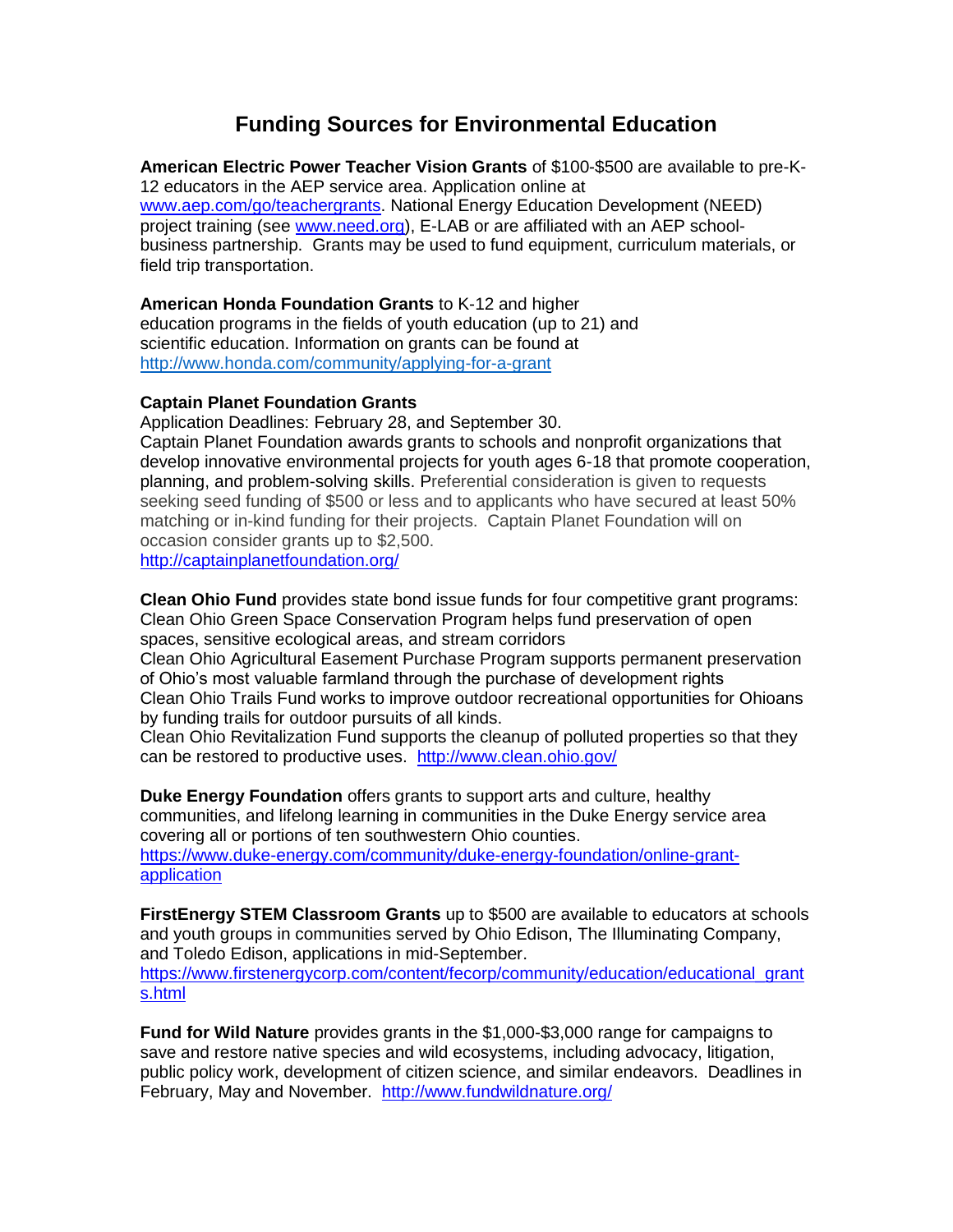## **Funding Sources for Environmental Education**

**American Electric Power Teacher Vision Grants** of \$100-\$500 are available to pre-K-12 educators in the AEP service area. Application online at [www.aep.com/go/teachergrants.](http://www.aep.com/go/teachergrants) National Energy Education Development (NEED) project training (see [www.need.org\)](http://www.need.org/), E-LAB or are affiliated with an AEP schoolbusiness partnership. Grants may be used to fund equipment, curriculum materials, or field trip transportation.

**American Honda Foundation Grants** to K-12 and higher education programs in the fields of youth education (up to 21) and scientific education. Information on grants can be found at <http://www.honda.com/community/applying-for-a-grant>

## **Captain Planet Foundation Grants**

Application Deadlines: February 28, and September 30. Captain Planet Foundation awards grants to schools and nonprofit organizations that develop innovative environmental projects for youth ages 6-18 that promote cooperation, planning, and problem-solving skills. Preferential consideration is given to requests seeking seed funding of \$500 or less and to applicants who have secured at least 50% matching or in-kind funding for their projects. Captain Planet Foundation will on occasion consider grants up to \$2,500.

<http://captainplanetfoundation.org/>

**Clean Ohio Fund** provides state bond issue funds for four competitive grant programs: Clean Ohio Green Space Conservation Program helps fund preservation of open spaces, sensitive ecological areas, and stream corridors

Clean Ohio Agricultural Easement Purchase Program supports permanent preservation of Ohio's most valuable farmland through the purchase of development rights Clean Ohio Trails Fund works to improve outdoor recreational opportunities for Ohioans by funding trails for outdoor pursuits of all kinds.

Clean Ohio Revitalization Fund supports the cleanup of polluted properties so that they can be restored to productive uses. <http://www.clean.ohio.gov/>

**Duke Energy Foundation** offers grants to support arts and culture, healthy communities, and lifelong learning in communities in the Duke Energy service area covering all or portions of ten southwestern Ohio counties. [https://www.duke-energy.com/community/duke-energy-foundation/online-grant](https://www.duke-energy.com/community/duke-energy-foundation/online-grant-application)[application](https://www.duke-energy.com/community/duke-energy-foundation/online-grant-application)

**FirstEnergy STEM Classroom Grants** up to \$500 are available to educators at schools and youth groups in communities served by Ohio Edison, The Illuminating Company, and Toledo Edison, applications in mid-September. [https://www.firstenergycorp.com/content/fecorp/community/education/educational\\_grant](https://www.firstenergycorp.com/content/fecorp/community/education/educational_grants.html)

[s.html](https://www.firstenergycorp.com/content/fecorp/community/education/educational_grants.html)

**Fund for Wild Nature** provides grants in the \$1,000-\$3,000 range for campaigns to save and restore native species and wild ecosystems, including advocacy, litigation, public policy work, development of citizen science, and similar endeavors. Deadlines in February, May and November. <http://www.fundwildnature.org/>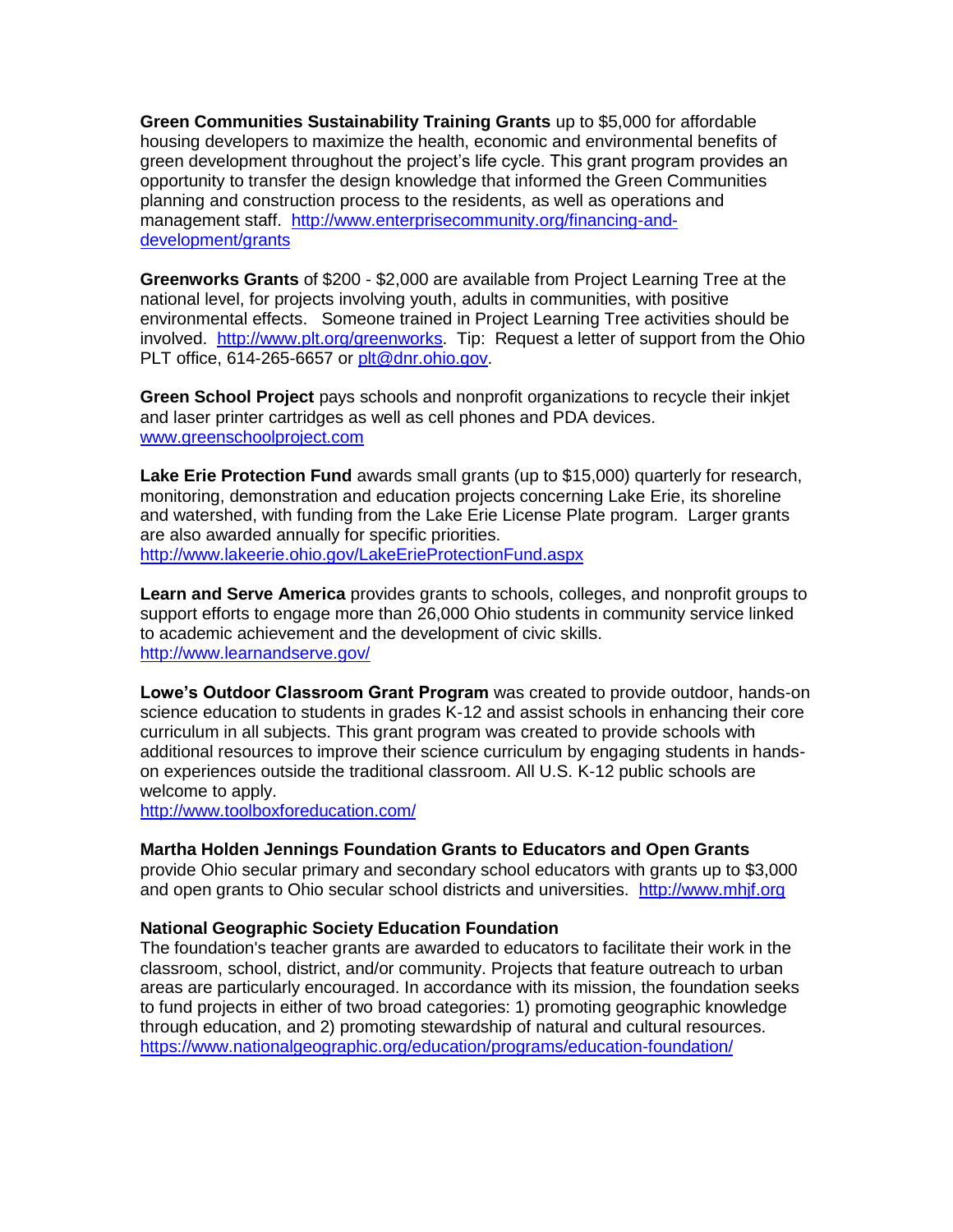**Green Communities Sustainability Training Grants** up to \$5,000 for affordable housing developers to maximize the health, economic and environmental benefits of green development throughout the project's life cycle. This grant program provides an opportunity to transfer the design knowledge that informed the Green Communities planning and construction process to the residents, as well as operations and management staff. [http://www.enterprisecommunity.org/financing-and](http://www.enterprisecommunity.org/financing-and-development/grants)[development/grants](http://www.enterprisecommunity.org/financing-and-development/grants)

**Greenworks Grants** of \$200 - \$2,000 are available from Project Learning Tree at the national level, for projects involving youth, adults in communities, with positive environmental effects. Someone trained in Project Learning Tree activities should be involved. [http://www.plt.org/greenworks.](http://www.plt.org/greenworks) Tip: Request a letter of support from the Ohio PLT office, 614-265-6657 or [plt@dnr.ohio.gov.](mailto:plt@dnr.ohio.gov)

**Green School Project** pays schools and nonprofit organizations to recycle their inkjet and laser printer cartridges as well as cell phones and PDA devices. [www.greenschoolproject.com](http://www.greenschoolproject.com/)

**Lake Erie Protection Fund** awards small grants (up to \$15,000) quarterly for research, monitoring, demonstration and education projects concerning Lake Erie, its shoreline and watershed, with funding from the Lake Erie License Plate program. Larger grants are also awarded annually for specific priorities. <http://www.lakeerie.ohio.gov/LakeErieProtectionFund.aspx>

**Learn and Serve America** provides grants to schools, colleges, and nonprofit groups to support efforts to engage more than 26,000 Ohio students in community service linked to academic achievement and the development of civic skills. <http://www.learnandserve.gov/>

**Lowe's Outdoor Classroom Grant Program** was created to provide outdoor, hands-on science education to students in grades K-12 and assist schools in enhancing their core curriculum in all subjects. This grant program was created to provide schools with additional resources to improve their science curriculum by engaging students in handson experiences outside the traditional classroom. All U.S. K-12 public schools are welcome to apply.

<http://www.toolboxforeducation.com/>

#### **Martha Holden Jennings Foundation Grants to Educators and Open Grants**

provide Ohio secular primary and secondary school educators with grants up to \$3,000 and open grants to Ohio secular school districts and universities. [http://www.mhjf.org](http://www.mhjf.org/)

#### **National Geographic Society Education Foundation**

The foundation's teacher grants are awarded to educators to facilitate their work in the classroom, school, district, and/or community. Projects that feature outreach to urban areas are particularly encouraged. In accordance with its mission, the foundation seeks to fund projects in either of two broad categories: 1) promoting geographic knowledge through education, and 2) promoting stewardship of natural and cultural resources. <https://www.nationalgeographic.org/education/programs/education-foundation/>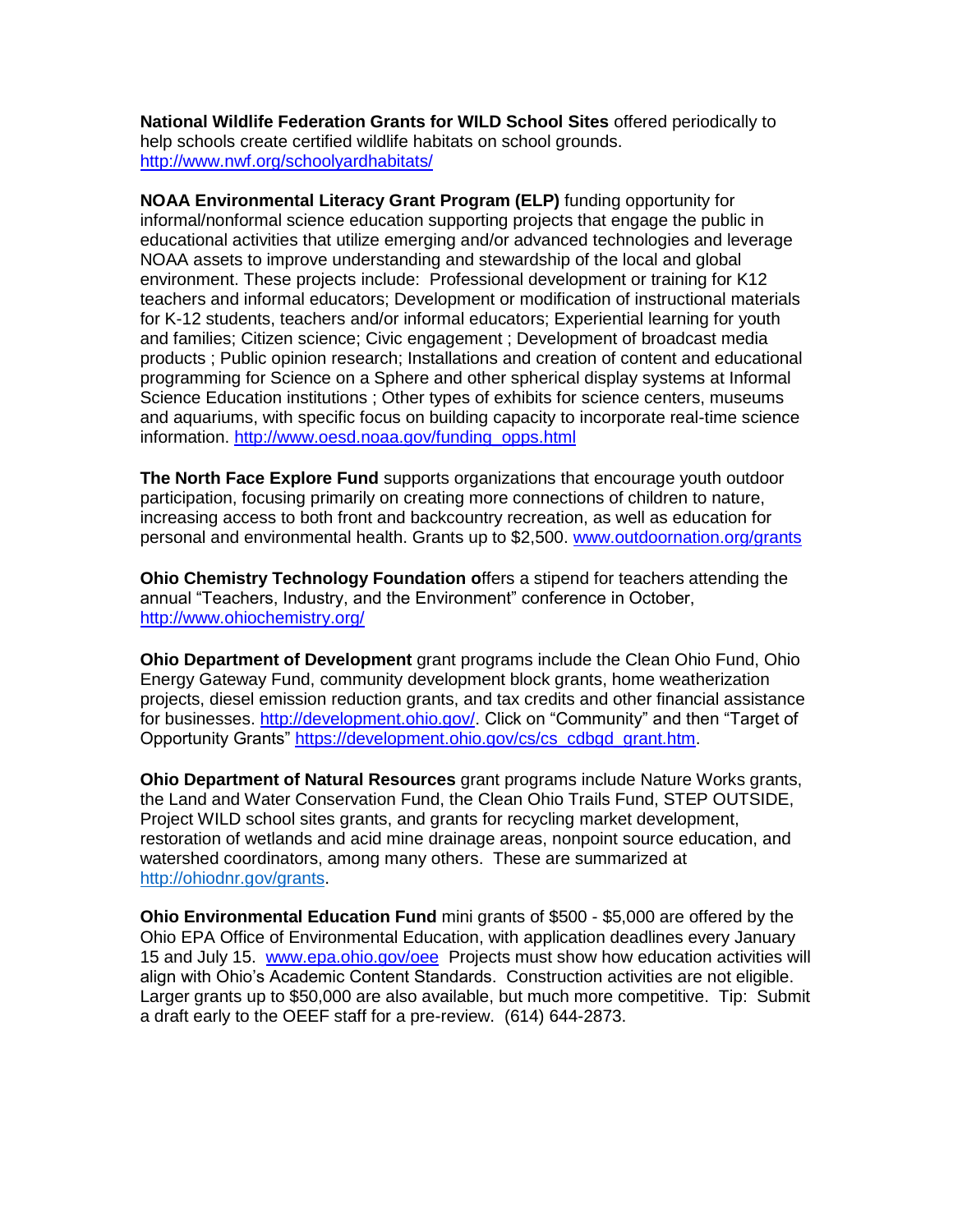**National Wildlife Federation Grants for WILD School Sites** offered periodically to help schools create certified wildlife habitats on school grounds. <http://www.nwf.org/schoolyardhabitats/>

**NOAA Environmental Literacy Grant Program (ELP)** funding opportunity for informal/nonformal science education supporting projects that engage the public in educational activities that utilize emerging and/or advanced technologies and leverage NOAA assets to improve understanding and stewardship of the local and global environment. These projects include: Professional development or training for K12 teachers and informal educators; Development or modification of instructional materials for K-12 students, teachers and/or informal educators; Experiential learning for youth and families; Citizen science; Civic engagement ; Development of broadcast media products ; Public opinion research; Installations and creation of content and educational programming for Science on a Sphere and other spherical display systems at Informal Science Education institutions ; Other types of exhibits for science centers, museums and aquariums, with specific focus on building capacity to incorporate real-time science information. [http://www.oesd.noaa.gov/funding\\_opps.html](http://www.oesd.noaa.gov/funding_opps.html)

**The North Face Explore Fund** supports organizations that encourage youth outdoor participation, focusing primarily on creating more connections of children to nature, increasing access to both front and backcountry recreation, as well as education for personal and environmental health. Grants up to \$2,500. [www.outdoornation.org/grants](http://www.outdoornation.org/grants)

**Ohio Chemistry Technology Foundation o**ffers a stipend for teachers attending the annual "Teachers, Industry, and the Environment" conference in October, <http://www.ohiochemistry.org/>

**Ohio Department of Development** grant programs include the Clean Ohio Fund, Ohio Energy Gateway Fund, community development block grants, home weatherization projects, diesel emission reduction grants, and tax credits and other financial assistance for businesses. [http://development.ohio.gov/.](http://development.ohio.gov/) Click on "Community" and then "Target of Opportunity Grants" [https://development.ohio.gov/cs/cs\\_cdbgd\\_grant.htm.](https://development.ohio.gov/cs/cs_cdbgd_grant.htm)

**Ohio Department of Natural Resources** grant programs include Nature Works grants, the Land and Water Conservation Fund, the Clean Ohio Trails Fund, STEP OUTSIDE, Project WILD school sites grants, and grants for recycling market development, restoration of wetlands and acid mine drainage areas, nonpoint source education, and watershed coordinators, among many others. These are summarized at [http://ohiodnr.gov/grants.](http://ohiodnr.gov/grants)

**Ohio Environmental Education Fund** mini grants of \$500 - \$5,000 are offered by the Ohio EPA Office of Environmental Education, with application deadlines every January 15 and July 15. [www.epa.ohio.gov/oee](http://www.epa.ohio.gov/oee) Projects must show how education activities will align with Ohio's Academic Content Standards. Construction activities are not eligible. Larger grants up to \$50,000 are also available, but much more competitive. Tip: Submit a draft early to the OEEF staff for a pre-review. (614) 644-2873.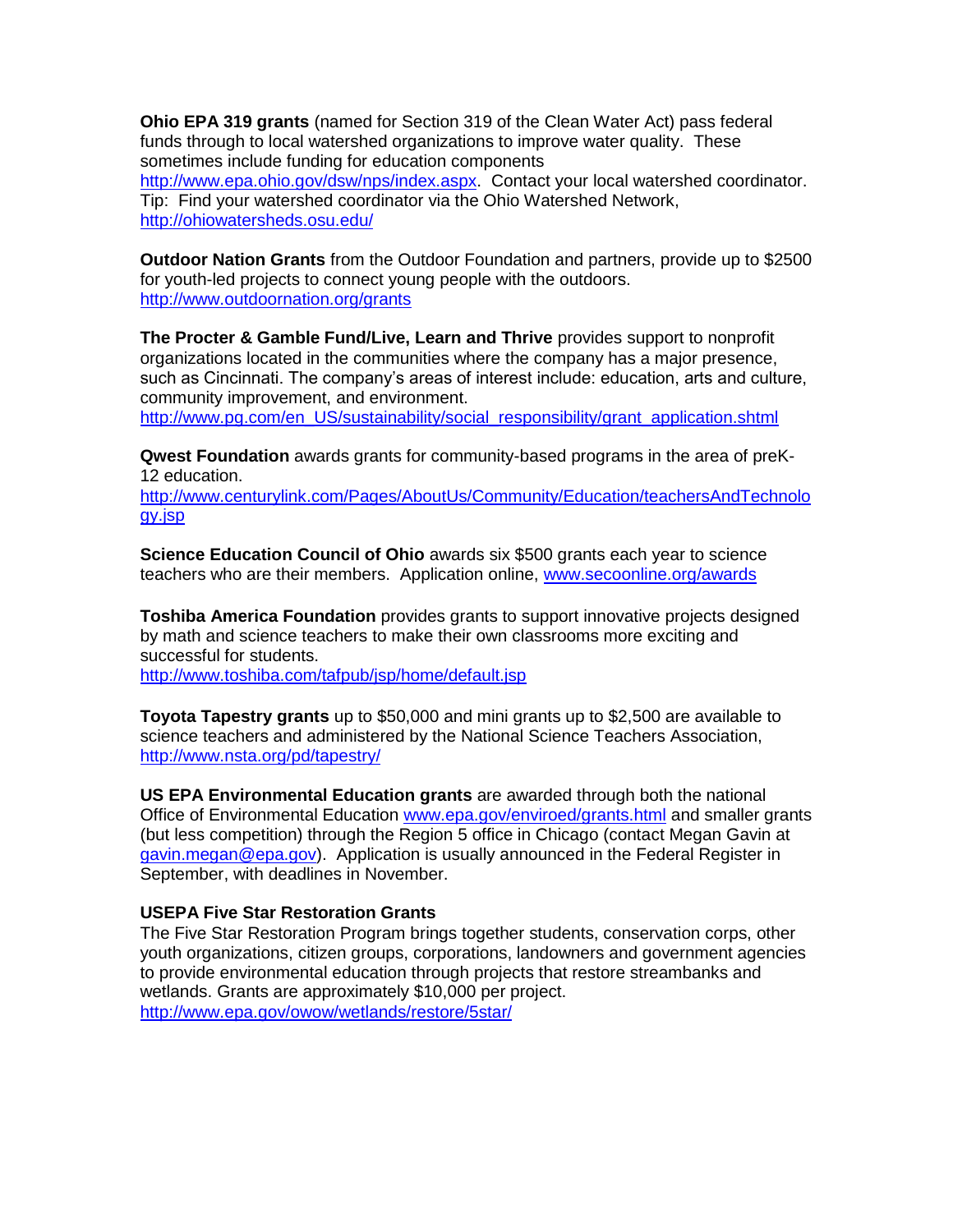**Ohio EPA 319 grants** (named for Section 319 of the Clean Water Act) pass federal funds through to local watershed organizations to improve water quality. These sometimes include funding for education components [http://www.epa.ohio.gov/dsw/nps/index.aspx.](http://www.epa.ohio.gov/dsw/nps/index.aspx) Contact your local watershed coordinator. Tip: Find your watershed coordinator via the Ohio Watershed Network, <http://ohiowatersheds.osu.edu/>

**Outdoor Nation Grants** from the Outdoor Foundation and partners, provide up to \$2500 for youth-led projects to connect young people with the outdoors. <http://www.outdoornation.org/grants>

**The Procter & Gamble Fund/Live, Learn and Thrive** provides support to nonprofit organizations located in the communities where the company has a major presence, such as Cincinnati. The company's areas of interest include: education, arts and culture, community improvement, and environment.

[http://www.pg.com/en\\_US/sustainability/social\\_responsibility/grant\\_application.shtml](http://www.pg.com/en_US/sustainability/social_responsibility/grant_application.shtml)

**Qwest Foundation** awards grants for community-based programs in the area of preK-12 education.

[http://www.centurylink.com/Pages/AboutUs/Community/Education/teachersAndTechnolo](http://www.centurylink.com/Pages/AboutUs/Community/Education/teachersAndTechnology.jsp) [gy.jsp](http://www.centurylink.com/Pages/AboutUs/Community/Education/teachersAndTechnology.jsp)

**Science Education Council of Ohio** awards six \$500 grants each year to science teachers who are their members. Application online, [www.secoonline.org/awards](http://www.secoonline.org/awards)

**Toshiba America Foundation** provides grants to support innovative projects designed by math and science teachers to make their own classrooms more exciting and successful for students. <http://www.toshiba.com/tafpub/jsp/home/default.jsp>

**Toyota Tapestry grants** up to \$50,000 and mini grants up to \$2,500 are available to science teachers and administered by the National Science Teachers Association, <http://www.nsta.org/pd/tapestry/>

**US EPA Environmental Education grants** are awarded through both the national Office of Environmental Education [www.epa.gov/enviroed/grants.html](http://www.epa.gov/enviroed/grants.html) and smaller grants (but less competition) through the Region 5 office in Chicago (contact Megan Gavin at [gavin.megan@epa.gov\)](mailto:gavin.megan@epa.gov). Application is usually announced in the Federal Register in September, with deadlines in November.

## **USEPA Five Star Restoration Grants**

The Five Star Restoration Program brings together students, conservation corps, other youth organizations, citizen groups, corporations, landowners and government agencies to provide environmental education through projects that restore streambanks and wetlands. Grants are approximately \$10,000 per project. <http://www.epa.gov/owow/wetlands/restore/5star/>